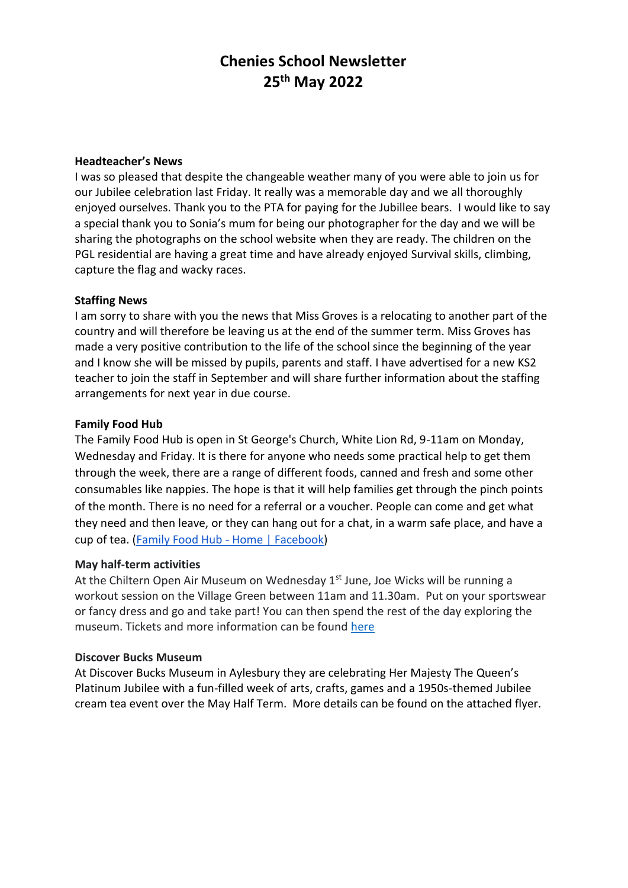# **Chenies School Newsletter 25th May 2022**

#### **Headteacher's News**

I was so pleased that despite the changeable weather many of you were able to join us for our Jubilee celebration last Friday. It really was a memorable day and we all thoroughly enjoyed ourselves. Thank you to the PTA for paying for the Jubillee bears. I would like to say a special thank you to Sonia's mum for being our photographer for the day and we will be sharing the photographs on the school website when they are ready. The children on the PGL residential are having a great time and have already enjoyed Survival skills, climbing, capture the flag and wacky races.

#### **Staffing News**

I am sorry to share with you the news that Miss Groves is a relocating to another part of the country and will therefore be leaving us at the end of the summer term. Miss Groves has made a very positive contribution to the life of the school since the beginning of the year and I know she will be missed by pupils, parents and staff. I have advertised for a new KS2 teacher to join the staff in September and will share further information about the staffing arrangements for next year in due course.

### **Family Food Hub**

The Family Food Hub is open in St George's Church, White Lion Rd, 9-11am on Monday, Wednesday and Friday. It is there for anyone who needs some practical help to get them through the week, there are a range of different foods, canned and fresh and some other consumables like nappies. The hope is that it will help families get through the pinch points of the month. There is no need for a referral or a voucher. People can come and get what they need and then leave, or they can hang out for a chat, in a warm safe place, and have a cup of tea. [\(Family Food Hub -](https://www.facebook.com/familyfoodhubuk) Home | Facebook)

#### **May half-term activities**

At the Chiltern Open Air Museum on Wednesday  $1<sup>st</sup>$  June, Joe Wicks will be running a workout session on the Village Green between 11am and 11.30am. Put on your sportswear or fancy dress and go and take part! You can then spend the rest of the day exploring the museum. Tickets and more information can be found [here](https://coam.org.uk/events/pe-with-joe-wicks/)

#### **Discover Bucks Museum**

At Discover Bucks Museum in Aylesbury they are celebrating Her Majesty The Queen's Platinum Jubilee with a fun-filled week of arts, crafts, games and a 1950s-themed Jubilee cream tea event over the May Half Term. More details can be found on the attached flyer.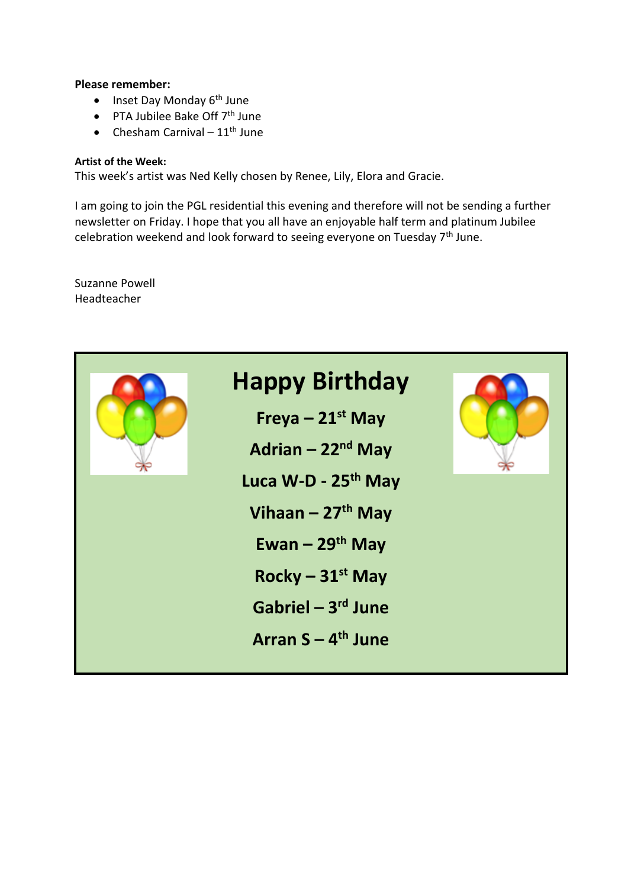#### **Please remember:**

- $\bullet$  Inset Day Monday  $6^{th}$  June
- $\bullet$  PTA Jubilee Bake Off  $7<sup>th</sup>$  June
- Chesham Carnival  $11<sup>th</sup>$  June

#### **Artist of the Week:**

This week's artist was Ned Kelly chosen by Renee, Lily, Elora and Gracie.

I am going to join the PGL residential this evening and therefore will not be sending a further newsletter on Friday. I hope that you all have an enjoyable half term and platinum Jubilee celebration weekend and look forward to seeing everyone on Tuesday  $7<sup>th</sup>$  June.

Suzanne Powell Headteacher

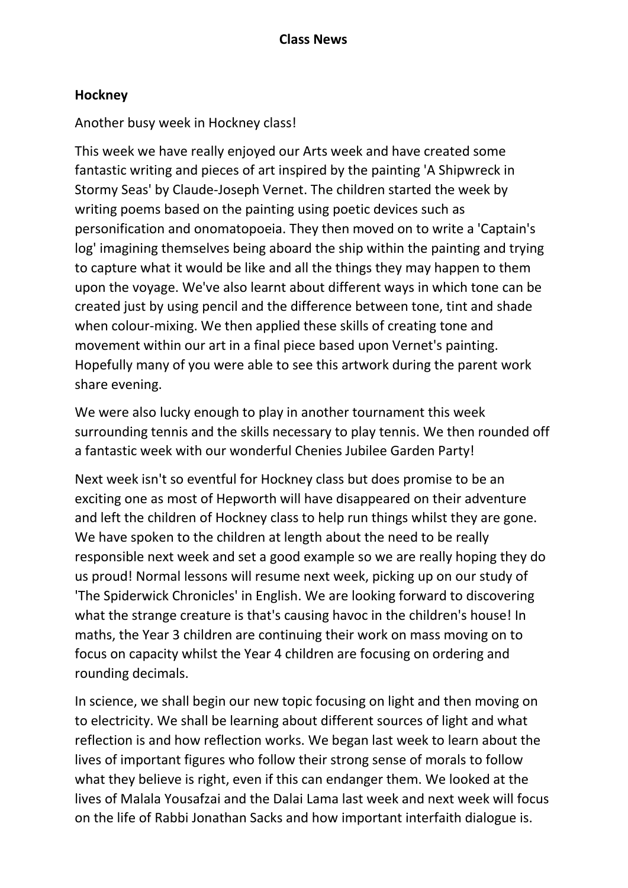## **Hockney**

## Another busy week in Hockney class!

This week we have really enjoyed our Arts week and have created some fantastic writing and pieces of art inspired by the painting 'A Shipwreck in Stormy Seas' by Claude-Joseph Vernet. The children started the week by writing poems based on the painting using poetic devices such as personification and onomatopoeia. They then moved on to write a 'Captain's log' imagining themselves being aboard the ship within the painting and trying to capture what it would be like and all the things they may happen to them upon the voyage. We've also learnt about different ways in which tone can be created just by using pencil and the difference between tone, tint and shade when colour-mixing. We then applied these skills of creating tone and movement within our art in a final piece based upon Vernet's painting. Hopefully many of you were able to see this artwork during the parent work share evening.

We were also lucky enough to play in another tournament this week surrounding tennis and the skills necessary to play tennis. We then rounded off a fantastic week with our wonderful Chenies Jubilee Garden Party!

Next week isn't so eventful for Hockney class but does promise to be an exciting one as most of Hepworth will have disappeared on their adventure and left the children of Hockney class to help run things whilst they are gone. We have spoken to the children at length about the need to be really responsible next week and set a good example so we are really hoping they do us proud! Normal lessons will resume next week, picking up on our study of 'The Spiderwick Chronicles' in English. We are looking forward to discovering what the strange creature is that's causing havoc in the children's house! In maths, the Year 3 children are continuing their work on mass moving on to focus on capacity whilst the Year 4 children are focusing on ordering and rounding decimals.

In science, we shall begin our new topic focusing on light and then moving on to electricity. We shall be learning about different sources of light and what reflection is and how reflection works. We began last week to learn about the lives of important figures who follow their strong sense of morals to follow what they believe is right, even if this can endanger them. We looked at the lives of Malala Yousafzai and the Dalai Lama last week and next week will focus on the life of Rabbi Jonathan Sacks and how important interfaith dialogue is.